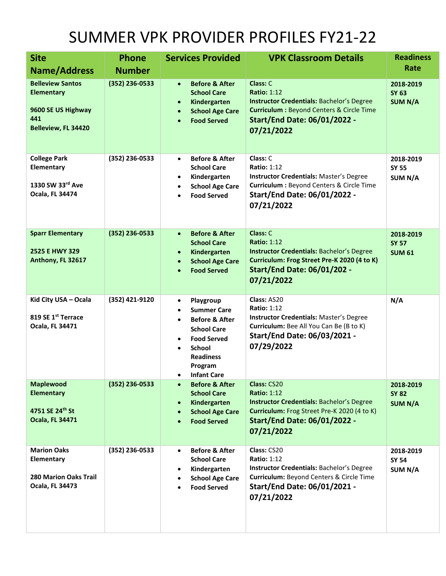## SUMMER VPK PROVIDER PROFILES FY21-22

| <b>Site</b>                                                                                      | <b>Phone</b>     | <b>Services Provided</b>                                                                                                                                                                                                           | <b>VPK Classroom Details</b>                                                                                                                                                                   | <b>Readiness</b><br><b>Rate</b>             |
|--------------------------------------------------------------------------------------------------|------------------|------------------------------------------------------------------------------------------------------------------------------------------------------------------------------------------------------------------------------------|------------------------------------------------------------------------------------------------------------------------------------------------------------------------------------------------|---------------------------------------------|
| <b>Name/Address</b>                                                                              | <b>Number</b>    |                                                                                                                                                                                                                                    |                                                                                                                                                                                                |                                             |
| <b>Belleview Santos</b><br><b>Elementary</b><br>9600 SE US Highway<br>441<br>Belleview, FL 34420 | $(352)$ 236-0533 | <b>Before &amp; After</b><br>$\bullet$<br><b>School Care</b><br>Kindergarten<br>$\bullet$<br><b>School Age Care</b><br><b>Food Served</b>                                                                                          | Class: C<br><b>Ratio: 1:12</b><br><b>Instructor Credentials: Bachelor's Degree</b><br><b>Curriculum: Beyond Centers &amp; Circle Time</b><br><b>Start/End Date: 06/01/2022 -</b><br>07/21/2022 | 2018-2019<br><b>SY 63</b><br><b>SUM N/A</b> |
| <b>College Park</b><br>Elementary<br>1330 SW 33rd Ave<br><b>Ocala, FL 34474</b>                  | (352) 236-0533   | <b>Before &amp; After</b><br>$\bullet$<br><b>School Care</b><br>Kindergarten<br>٠<br><b>School Age Care</b><br><b>Food Served</b>                                                                                                  | Class: C<br><b>Ratio: 1:12</b><br><b>Instructor Credentials: Master's Degree</b><br>Curriculum : Beyond Centers & Circle Time<br><b>Start/End Date: 06/01/2022 -</b><br>07/21/2022             | 2018-2019<br><b>SY 55</b><br>SUM N/A        |
| <b>Sparr Elementary</b><br>2525 E HWY 329<br>Anthony, FL 32617                                   | $(352)$ 236-0533 | <b>Before &amp; After</b><br>$\bullet$<br><b>School Care</b><br>Kindergarten<br>$\bullet$<br><b>School Age Care</b><br><b>Food Served</b>                                                                                          | Class: C<br><b>Ratio: 1:12</b><br><b>Instructor Credentials: Bachelor's Degree</b><br>Curriculum: Frog Street Pre-K 2020 (4 to K)<br><b>Start/End Date: 06/01/202 -</b><br>07/21/2022          | 2018-2019<br><b>SY 57</b><br><b>SUM 61</b>  |
| Kid City USA - Ocala<br>819 SE 1st Terrace<br>Ocala, FL 34471                                    | (352) 421-9120   | Playgroup<br>$\bullet$<br><b>Summer Care</b><br>$\bullet$<br><b>Before &amp; After</b><br>$\bullet$<br><b>School Care</b><br><b>Food Served</b><br><b>School</b><br>$\bullet$<br><b>Readiness</b><br>Program<br><b>Infant Care</b> | Class: AS20<br><b>Ratio: 1:12</b><br><b>Instructor Credentials: Master's Degree</b><br>Curriculum: Bee All You Can Be (B to K)<br><b>Start/End Date: 06/03/2021 -</b><br>07/29/2022            | N/A                                         |
| <b>Maplewood</b><br><b>Elementary</b><br>4751 SE 24th St<br><b>Ocala, FL 34471</b>               | (352) 236-0533   | <b>Before &amp; After</b><br>$\bullet$<br><b>School Care</b><br>Kindergarten<br><b>School Age Care</b><br><b>Food Served</b>                                                                                                       | Class: CS20<br><b>Ratio: 1:12</b><br><b>Instructor Credentials: Bachelor's Degree</b><br>Curriculum: Frog Street Pre-K 2020 (4 to K)<br><b>Start/End Date: 06/01/2022 -</b><br>07/21/2022      | 2018-2019<br><b>SY 82</b><br><b>SUM N/A</b> |
| <b>Marion Oaks</b><br>Elementary<br><b>280 Marion Oaks Trail</b><br><b>Ocala, FL 34473</b>       | (352) 236-0533   | <b>Before &amp; After</b><br>$\bullet$<br><b>School Care</b><br>Kindergarten<br><b>School Age Care</b><br><b>Food Served</b>                                                                                                       | Class: CS20<br><b>Ratio: 1:12</b><br>Instructor Credentials: Bachelor's Degree<br>Curriculum: Beyond Centers & Circle Time<br><b>Start/End Date: 06/01/2021 -</b><br>07/21/2022                | 2018-2019<br><b>SY 54</b><br>SUM N/A        |